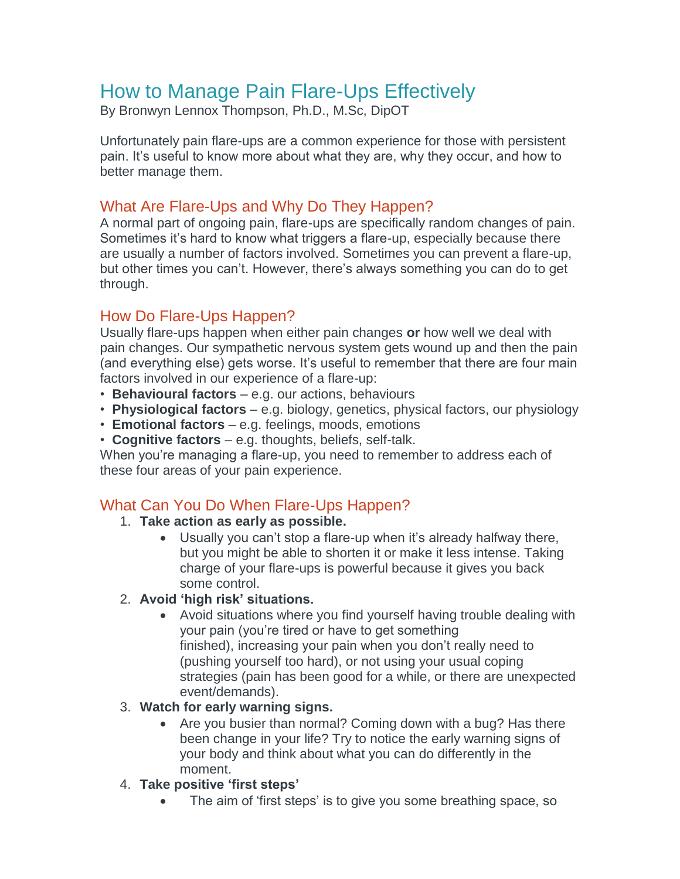# How to Manage Pain Flare-Ups Effectively

By Bronwyn Lennox Thompson, Ph.D., M.Sc, DipOT

Unfortunately pain flare-ups are a common experience for those with persistent pain. It's useful to know more about what they are, why they occur, and how to better manage them.

# What Are Flare-Ups and Why Do They Happen?

A normal part of ongoing pain, flare-ups are specifically random changes of pain. Sometimes it's hard to know what triggers a flare-up, especially because there are usually a number of factors involved. Sometimes you can prevent a flare-up, but other times you can't. However, there's always something you can do to get through.

# How Do Flare-Ups Happen?

Usually flare-ups happen when either pain changes **or** how well we deal with pain changes. Our sympathetic nervous system gets wound up and then the pain (and everything else) gets worse. It's useful to remember that there are four main factors involved in our experience of a flare-up:

- **Behavioural factors** e.g. our actions, behaviours
- **Physiological factors** e.g. biology, genetics, physical factors, our physiology
- **Emotional factors** e.g. feelings, moods, emotions
- **Cognitive factors** e.g. thoughts, beliefs, self-talk.

When you're managing a flare-up, you need to remember to address each of these four areas of your pain experience.

# What Can You Do When Flare-Ups Happen?

## 1. **Take action as early as possible.**

 Usually you can't stop a flare-up when it's already halfway there, but you might be able to shorten it or make it less intense. Taking charge of your flare-ups is powerful because it gives you back some control.

## 2. **Avoid 'high risk' situations.**

 Avoid situations where you find yourself having trouble dealing with your pain (you're tired or have to get something finished), increasing your pain when you don't really need to (pushing yourself too hard), or not using your usual coping strategies (pain has been good for a while, or there are unexpected event/demands).

## 3. **Watch for early warning signs.**

• Are you busier than normal? Coming down with a bug? Has there been change in your life? Try to notice the early warning signs of your body and think about what you can do differently in the moment.

## 4. **Take positive 'first steps'**

The aim of 'first steps' is to give you some breathing space, so